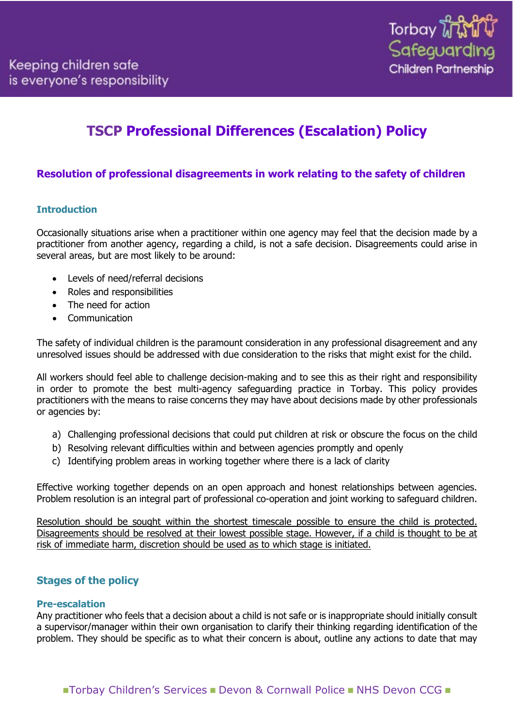# **TSCP Professional Differences (Escalation) Policy**

# **Resolution of professional disagreements in work relating to the safety of children**

# **Introduction**

Occasionally situations arise when a practitioner within one agency may feel that the decision made by a practitioner from another agency, regarding a child, is not a safe decision. Disagreements could arise in several areas, but are most likely to be around:

- Levels of need/referral decisions
- Roles and responsibilities
- The need for action
- **Communication**

The safety of individual children is the paramount consideration in any professional disagreement and any unresolved issues should be addressed with due consideration to the risks that might exist for the child.

All workers should feel able to challenge decision-making and to see this as their right and responsibility in order to promote the best multi-agency safeguarding practice in Torbay. This policy provides practitioners with the means to raise concerns they may have about decisions made by other professionals or agencies by:

- a) Challenging professional decisions that could put children at risk or obscure the focus on the child
- b) Resolving relevant difficulties within and between agencies promptly and openly
- c) Identifying problem areas in working together where there is a lack of clarity

Effective working together depends on an open approach and honest relationships between agencies. Problem resolution is an integral part of professional co-operation and joint working to safeguard children.

Resolution should be sought within the shortest timescale possible to ensure the child is protected. Disagreements should be resolved at their lowest possible stage. However, if a child is thought to be at risk of immediate harm, discretion should be used as to which stage is initiated.

# **Stages of the policy**

# **Pre-escalation**

Any practitioner who feels that a decision about a child is not safe or is inappropriate should initially consult a supervisor/manager within their own organisation to clarify their thinking regarding identification of the problem. They should be specific as to what their concern is about, outline any actions to date that may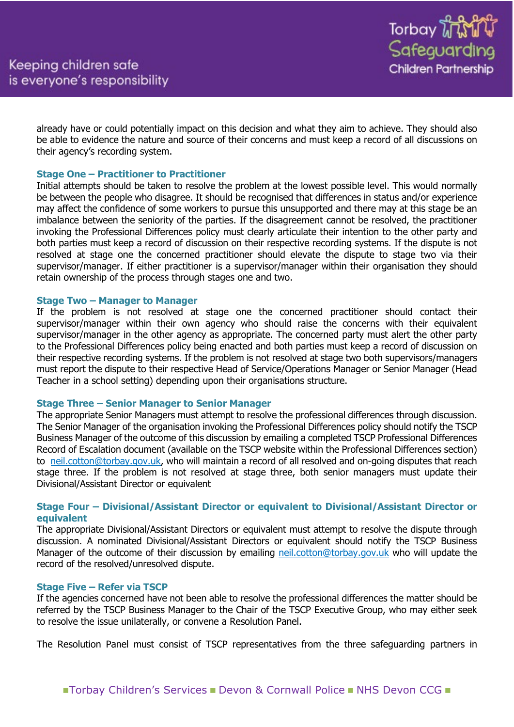already have or could potentially impact on this decision and what they aim to achieve. They should also be able to evidence the nature and source of their concerns and must keep a record of all discussions on their agency's recording system.

# **Stage One – Practitioner to Practitioner**

Initial attempts should be taken to resolve the problem at the lowest possible level. This would normally be between the people who disagree. It should be recognised that differences in status and/or experience may affect the confidence of some workers to pursue this unsupported and there may at this stage be an imbalance between the seniority of the parties. If the disagreement cannot be resolved, the practitioner invoking the Professional Differences policy must clearly articulate their intention to the other party and both parties must keep a record of discussion on their respective recording systems. If the dispute is not resolved at stage one the concerned practitioner should elevate the dispute to stage two via their supervisor/manager. If either practitioner is a supervisor/manager within their organisation they should retain ownership of the process through stages one and two.

#### **Stage Two – Manager to Manager**

If the problem is not resolved at stage one the concerned practitioner should contact their supervisor/manager within their own agency who should raise the concerns with their equivalent supervisor/manager in the other agency as appropriate. The concerned party must alert the other party to the Professional Differences policy being enacted and both parties must keep a record of discussion on their respective recording systems. If the problem is not resolved at stage two both supervisors/managers must report the dispute to their respective Head of Service/Operations Manager or Senior Manager (Head Teacher in a school setting) depending upon their organisations structure.

# **Stage Three – Senior Manager to Senior Manager**

The appropriate Senior Managers must attempt to resolve the professional differences through discussion. The Senior Manager of the organisation invoking the Professional Differences policy should notify the TSCP Business Manager of the outcome of this discussion by emailing a completed TSCP Professional Differences Record of Escalation document (available on the TSCP website within the Professional Differences section) to [neil.cotton@torbay.gov.uk,](mailto:neil.cotton@torbay.gov.uk) who will maintain a record of all resolved and on-going disputes that reach stage three. If the problem is not resolved at stage three, both senior managers must update their Divisional/Assistant Director or equivalent

# **Stage Four – Divisional/Assistant Director or equivalent to Divisional/Assistant Director or equivalent**

The appropriate Divisional/Assistant Directors or equivalent must attempt to resolve the dispute through discussion. A nominated Divisional/Assistant Directors or equivalent should notify the TSCP Business Manager of the outcome of their discussion by emailing [neil.cotton@torbay.gov.uk](mailto:neil.cotton@torbay.gov.uk) who will update the record of the resolved/unresolved dispute.

# **Stage Five – Refer via TSCP**

If the agencies concerned have not been able to resolve the professional differences the matter should be referred by the TSCP Business Manager to the Chair of the TSCP Executive Group, who may either seek to resolve the issue unilaterally, or convene a Resolution Panel.

The Resolution Panel must consist of TSCP representatives from the three safeguarding partners in